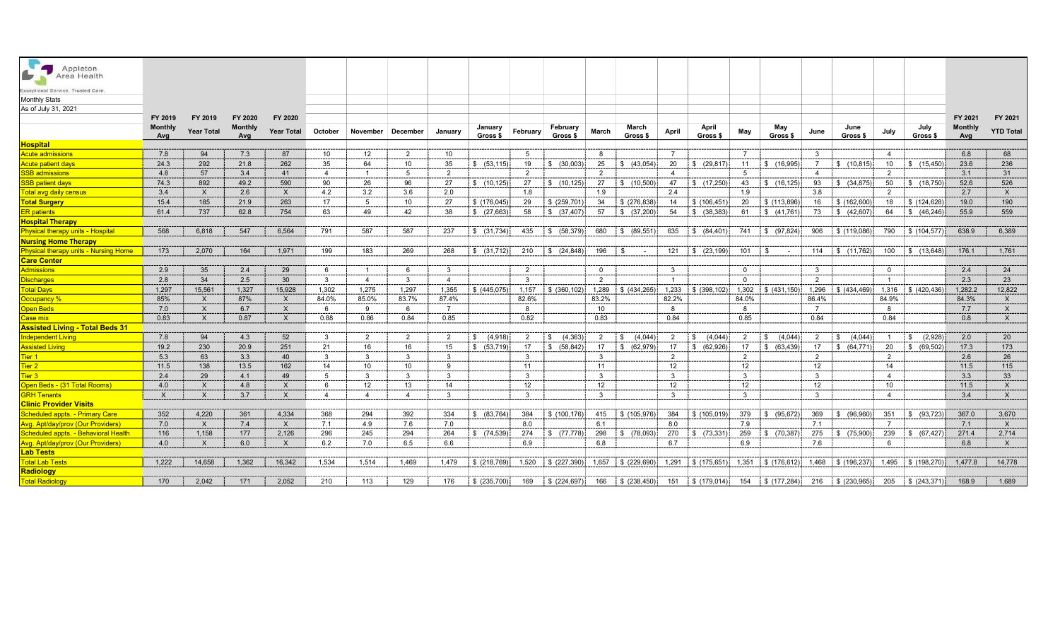| Appleton<br>$\mathbb{Z}$<br>Area Health      |                |                           |                |                   |                         |                |                   |                    |                             |               |                                                                             |               |                            |                   |                                                              |               |                                       |                |                                       |                |                                 |                |                  |
|----------------------------------------------|----------------|---------------------------|----------------|-------------------|-------------------------|----------------|-------------------|--------------------|-----------------------------|---------------|-----------------------------------------------------------------------------|---------------|----------------------------|-------------------|--------------------------------------------------------------|---------------|---------------------------------------|----------------|---------------------------------------|----------------|---------------------------------|----------------|------------------|
| Exceptional Service. Trusted Care.           |                |                           |                |                   |                         |                |                   |                    |                             |               |                                                                             |               |                            |                   |                                                              |               |                                       |                |                                       |                |                                 |                |                  |
| Monthly Stats                                |                |                           |                |                   |                         |                |                   |                    |                             |               |                                                                             |               |                            |                   |                                                              |               |                                       |                |                                       |                |                                 |                |                  |
| As of July 31, 2021                          |                |                           |                |                   |                         |                |                   |                    |                             |               |                                                                             |               |                            |                   |                                                              |               |                                       |                |                                       |                |                                 |                |                  |
|                                              | FY 2019        | FY 2019                   | FY 2020        | FY 2020           |                         |                |                   |                    |                             |               |                                                                             |               |                            |                   |                                                              |               |                                       |                |                                       |                |                                 | FY 2021        | FY 2021          |
|                                              | <b>Monthly</b> |                           | <b>Monthly</b> |                   |                         |                |                   |                    | January                     |               | February                                                                    |               | March                      |                   | April                                                        |               | May                                   |                | June                                  |                | July                            | <b>Monthly</b> |                  |
|                                              | Avg            | <b>Year Total</b>         | Avg            | <b>Year Total</b> | October                 |                | November December | Januarv            | Gross \$                    | February      | Gross \$                                                                    | March         | Gross \$                   | April             | Gross \$                                                     | May           | Gross \$                              | June           | Gross \$                              | July           | Gross \$                        | Avg            | <b>YTD Total</b> |
| <b>Hospital</b>                              |                |                           |                |                   |                         |                |                   |                    |                             |               |                                                                             |               |                            |                   |                                                              |               |                                       |                |                                       |                |                                 |                |                  |
| <b>Acute admissions</b>                      | 7.8            | 94                        | 7.3            | 87                | 10                      | 12             | 2                 | 10                 |                             | -5            |                                                                             | -8            |                            |                   |                                                              |               |                                       |                |                                       |                |                                 | 6.8            | 68               |
| <b>Acute patient days</b>                    | 24.3           | 292                       | 21.8           | 262               | 35                      | 64             | 10 <sup>1</sup>   | 35                 | \$ (53, 115)                | 19            | $$^{(30,003)}$$                                                             | 25            | \$ (43,054)                | 20                | $\frac{1}{5}$ (29,817):                                      | 11            | $\frac{1}{5}$ (16,995)                | $\overline{7}$ | \$(10, 815)                           | 10             | \$(15, 450)                     | 23.6           | 236              |
| <b>SSB admissions</b>                        | 4.8            | 57                        | 3.4            | 41                | $\overline{4}$          |                | -5                | $\overline{2}$     |                             | $\mathcal{P}$ |                                                                             | $\mathcal{L}$ |                            |                   |                                                              |               |                                       |                |                                       | $\mathcal{L}$  |                                 | 3.1            | 31               |
| <b>SSB patient days</b>                      | 74.3           | 892                       | 49.2           | 590               | 90                      | 26             | 96                | 27                 | \$(10, 125)                 | 27            | $\frac{1}{2}$ (10,125)                                                      | 27            | $\frac{1}{2}$ \$ (10,500)  | 47                | $\frac{1}{2}$ (17,250)                                       | 43            | $\frac{1}{5}$ (16,125)                | 93             | $\frac{1}{2}$ \$ (34,875)             | 50             | \$(18,750)                      | 52.6           | 526              |
| <u>Total avg daily census</u>                | 3.4            | $\mathsf{X}$              | 2.6            | $\mathsf{X}$      | 4.2                     | 3.2            | 3.6               | 2.0                |                             | 1.8           |                                                                             | 1.9           |                            | 2.4               |                                                              | 1.9           |                                       | 3.8            |                                       | -2             |                                 | 2.7            | $\mathsf{X}$     |
| <b>Total Surgery</b>                         | 15.4           | 185                       | 21.9           | 263               | 17                      | -5             | 10                | 27                 | \$(176,045)                 | -29           | \$(259,701)                                                                 | 34            | $\frac{1}{2}$ \$ (276,838) | 14                | \$(106, 451)                                                 | 20            | $\frac{1}{2}$ \$ (113,896)            | 16             | $\frac{1}{2}$ \$ (162,600)            | - 18           | \$(124, 628)                    | 19.0           | 190              |
| <b>ER</b> patients                           | 61.4           | 737                       | 62.8           | 754               | 63                      | 49             | 42                | -38                | $$^{(27,663)}$              | 58            | \$ (37,407)                                                                 | 57            | \$ (37,200)                | 54                | \$ (38, 383)                                                 | 61            | $\frac{1}{2}$ \$ (41,761)             | 73             | $\frac{1}{2}$ \$ (42,607)             | 64             | \$ (46,246)                     | 55.9           | 559              |
| <b>Hospital Therapy</b>                      |                |                           |                |                   |                         |                |                   |                    |                             |               |                                                                             |               |                            |                   |                                                              |               |                                       |                |                                       |                |                                 |                |                  |
| <b>Physical therapy units - Hospital</b>     | 568            | 6,818                     | 547            | 6,564             | 791                     | 587            | 587               | 237                | \$ (31,734)                 | 435           | $\frac{1}{5}$ (58,379)                                                      | 680           | $\frac{1}{5}$ (89,551)     | 635               | $\frac{1}{5}$ (84,401)                                       |               | 741   \$ (97,824)                     | 906            | $\frac{1}{5}$ (119,086):              | 790            | \$(104, 577)]                   | 638.9          | 6.389            |
| <b>Nursing Home Therapy</b>                  |                |                           |                |                   |                         |                |                   |                    |                             |               |                                                                             |               |                            |                   |                                                              |               |                                       |                |                                       |                |                                 |                |                  |
| <b>Physical therapy units - Nursing Home</b> | 173            | 2.070                     | 164            | 1,971             | 199                     | 183            | 269               | 268                | \$(31,712)                  | 210           | $\frac{1}{3}$ (24,848)                                                      | 196           | : \$                       | 121               | $\frac{1}{5}$ (23,199)                                       | $101 \div$ \$ |                                       | 114            | $\frac{1}{2}$ \$ (11,762)             | 100            | \$(13,648)                      | 176.1          | 1.761            |
| <b>Care Center</b>                           |                |                           |                |                   |                         |                |                   |                    |                             |               |                                                                             |               |                            |                   |                                                              |               |                                       |                |                                       |                |                                 |                |                  |
| <b>Admissions</b>                            | 2.9            | 35                        | 2.4            | 29                | -6                      | ------         | - 6               | - 3                |                             | 2             |                                                                             | $\Omega$      |                            | - 3               |                                                              | $\Omega$      |                                       | -3<br>         |                                       | $\Omega$       |                                 | 2.4            | 24               |
| <b>Discharges</b>                            | 2.8            | 34                        | 2.5            | 30                | -3                      | $\overline{4}$ | -3                | $\mathbf{\Lambda}$ |                             | 3             |                                                                             | 2             |                            |                   |                                                              | $\Omega$      |                                       | 2              |                                       | $\overline{1}$ |                                 | 2.3            | 23               |
| <b>Total Days</b>                            | 1,297          | 15,561                    | 1,327          | 15,928            | 1,302                   | 1,275          | 1,297             | 1,355              | \$ (445,075)                | 1,157         | $\frac{1}{2}$ \$ (360,102)                                                  | 1,289         | $\frac{1}{2}$ \$ (434,265) |                   |                                                              |               | $1,302$ $\frac{1}{5}$ (431,150)       | 1,296          | \$ (434, 469)                         | 1,316          | $\frac{1}{2}$ \$ (420,436)      | 1,282.2        | 12,822           |
| <mark>Оссuрancy %</mark>                     | 85%            | $\mathsf{X}$              | 87%            | $\mathsf{X}$      | 84.0%                   | 85.0%          | 83.7%             | 87.4%              |                             | 82.6%         |                                                                             | 83.2%         |                            | 82.2%             |                                                              | 84.0%         |                                       | 86.4%          |                                       | 84.9%          |                                 | 84.3%          | X                |
| <b>Open Beds</b>                             | 7.0            | $\mathsf{X}$              | 6.7            | $\times$          | - 6                     | - 9            | - 6               | $\overline{7}$     |                             | - 8           |                                                                             | 10            |                            | - 8               |                                                              | -8            |                                       | $\overline{7}$ |                                       | - 8            |                                 | 7.7            | $\mathsf{X}$     |
| Case mix_                                    | 0.83           | $\boldsymbol{\mathsf{X}}$ | 0.87           | $\mathsf{X}$      | 0.88                    | 0.86           | 0.84              | 0.85               |                             | 0.82          |                                                                             | 0.83          |                            | 0.84              |                                                              | 0.85          |                                       | 0.84           |                                       | 0.84           |                                 | 0.8            | $\mathsf{X}$     |
| <b>Assisted Living - Total Beds 31</b>       |                |                           |                |                   |                         |                |                   |                    |                             |               |                                                                             |               |                            |                   |                                                              |               |                                       |                |                                       |                |                                 |                |                  |
| <b>Independent Living</b>                    | 7.8            | 94                        | 4.3            | 52                | $\mathbf{3}$            | 2              | $\overline{2}$    | 2                  | (4,918)<br>- \$             | 2             | (4, 363)<br>i \$                                                            | 2             | (4,044)<br>i \$            | $\overline{2}$    | (4,044)<br>\$                                                | 2             | (4,044)<br>$\frac{1}{2}$              | 2              | (4,044)<br>i Si                       |                | \$ (2,928)                      | 2.0            | 20               |
| <b>Assisted Living</b>                       | 19.2           | 230                       | 20.9           | 251               | 21                      | 16             | 16                | 15                 | \$ (53,719)                 | 17            | $\frac{1}{5}$ (58,842)                                                      |               | 17   \$ (62,979)           |                   | $17 \quad   \$ (62,926)$                                     |               | $17 \quad   \; \text{\$} \; (63,439)$ |                | $17 \quad   \; \text{\$} \; (64,771)$ | 20             | $\frac{1}{5}$ (69,502)          | 17.3           | 173              |
| Tier 1                                       | 5.3            | 63                        | 3.3            | 40                | $\mathbf{3}$<br>------- | 3              | 3                 | $\mathbf{3}$       |                             | $\mathbf{3}$  |                                                                             | $\mathbf{3}$  |                            | 2                 |                                                              | 2             |                                       | 2              |                                       | 2              |                                 | 2.6            | 26               |
| Tier 2                                       | 11.5           | 138                       | 13.5           | 162               | 14                      | 10             | 10 <sup>1</sup>   | -9                 |                             | 11            |                                                                             | 11            |                            | 12                |                                                              | 12            |                                       | 12             |                                       | 14             |                                 | 11.5           | 115              |
| Tier 3                                       | 2.4            | 29                        | 4.1            | 49                | $\frac{5}{1}$           | $\mathbf{3}$   | $\mathbf{3}$      | $\mathbf{3}$       |                             | $\mathbf{3}$  |                                                                             | 3             |                            | $\mathbf{3}$      |                                                              | 3             |                                       | 3<br>.         |                                       | $\overline{4}$ |                                 | 3.3            | 33               |
| Open Beds - (31 Total Rooms)                 | 4.0            | $\mathsf{X}$              | 4.8            | $\mathsf{X}$      | 6                       | 12             | 13                | 14                 |                             | 12            |                                                                             | 12            |                            | $12 \overline{ }$ |                                                              | 12            |                                       | 12             |                                       | 10             |                                 | 11.5           | X                |
| <b>GRH Tenants</b>                           | $\mathsf{X}$   | $\mathsf{X}$              | 3.7            | $\mathsf{X}$      | $\overline{4}$          | $\overline{4}$ | $\overline{4}$    | 3                  |                             | 3             |                                                                             | 3             |                            | - 3               |                                                              | 3             |                                       | 3              |                                       | $\overline{4}$ |                                 | 3.4            | $\mathsf{X}$     |
| <b>Clinic Provider Visits</b>                |                |                           |                |                   |                         |                |                   |                    |                             |               |                                                                             |               |                            |                   |                                                              |               |                                       |                |                                       |                |                                 |                |                  |
| <b>Scheduled appts. - Primary Care</b>       | 352            | 4,220                     | 361            | 4,334             | 368                     | 294            | 392               | 334                | \$ (83, 764)                | 384           | \$(100, 176)                                                                | 415           | $\frac{1}{2}$ \$ (105,976) | 384               | \$(105,019)                                                  | 379           | $\frac{1}{5}$ (95,672)                | 369            | $\frac{1}{5}$ (96,960)                | 351            | \$ (93, 723)                    | 367.0          | 3,670            |
| Avg. Apt/day/prov (Our Providers)            | 7.0            | $\mathsf{X}$              | 7.4            | $\mathsf{X}$      | 7.1                     | 4.9            | 7.6               | 7.0                |                             | 8.0           |                                                                             | 6.1           |                            | 8.0               |                                                              | 7.9           |                                       | 7.1            |                                       | $\overline{7}$ |                                 | 7.1            | $\mathsf{X}$     |
| <b>Scheduled appts. - Behavioral Health</b>  | 116            | 1,158                     | 177            | 2,126             | 296                     | 245            | 294               | 264                | $\frac{1}{5}$ (74,539)      | 274           | $\frac{1}{5}$ (77,778)                                                      | 298           | \$ (78,093)                | 270               | $\frac{1}{5}$ (73,331)                                       | 259           | $\frac{1}{5}$ (70,387)                | 275            | $\frac{1}{5}$ (75,900)                | 239            | \$ (67, 427)                    | 271.4          | 2,714            |
| Avg. Apt/day/prov (Our Providers)            | 4.0            | $\mathsf{X}$              | 6.0            | $\mathsf{X}$      | 6.2                     | 7.0            | 6.5               | 6.6                |                             | 6.9           |                                                                             | 6.8           |                            | 6.7               |                                                              | 6.9           |                                       | 7.6            |                                       | - 6            |                                 | 6.8            | $\mathsf{X}$     |
| <b>Lab Tests</b>                             |                |                           |                |                   |                         |                |                   |                    |                             |               |                                                                             |               |                            |                   |                                                              |               |                                       |                |                                       |                |                                 |                |                  |
| <b>Total Lab Tests</b>                       | 1,222          | 14,658                    | 1,362          | 16,342            | 1,534                   | 1,514          | 1,469             | 1,479              | \$(218,769)                 |               | $1,520$ $\frac{1}{5}$ (227,390) $\frac{1}{5}$ 1,657 $\frac{1}{5}$ (229,690) |               |                            |                   | $1,291$ \$ (175,651) $1,351$ \$ (176,612) 1,468 \$ (196,237) |               |                                       |                |                                       |                | $1,495$ $\uparrow$ \$ (198,270) | 1,477.8        | 14,778           |
| <b>Radiology</b>                             |                |                           |                |                   |                         |                |                   |                    |                             |               |                                                                             |               |                            |                   |                                                              |               |                                       |                |                                       |                |                                 |                |                  |
| <b>Total Radiology</b>                       | 170            | 2,042                     | 171            | 2,052             | 210                     | 113            | 129               | 176                | $\frac{1}{2}$ \$ (235,700): | 169           | $\frac{1}{5}$ (224,697)                                                     |               | 166   \$ (238,450) !       |                   | 151 S (179,014): 154 S (177,284): 216 S (230,965): 205       |               |                                       |                |                                       |                | $\frac{1}{2}$ \$ (243,371)      | 168.9          | 1.689            |
|                                              |                |                           |                |                   |                         |                |                   |                    |                             |               |                                                                             |               |                            |                   |                                                              |               |                                       |                |                                       |                |                                 |                |                  |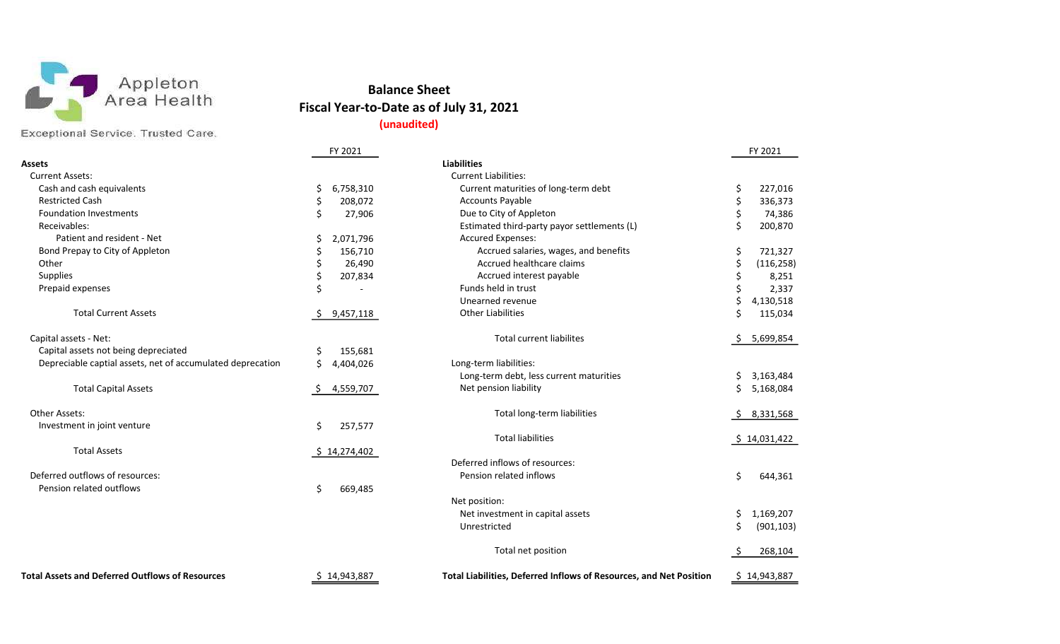

Exceptional Service. Trusted Care.

Balance Sheet Fiscal Year-to-Date as of July 31, 2021 (unaudited)

FY 2021 FY 2021 Assets Liabilities Current Assets: Current Liabilities: Cash and cash equivalents  $\frac{1}{2}$  6,758,310 Restricted Cash \$ 208,072 Accounts Payable \$ 336,373 Foundation Investments **Example 10** Out 27,906 Due to City of Appleton Appleton Appleton Appleton Apple 17,906 Receivables: 
Supervisory and the extended third-party payor settlements (L) 
Supervisory and third-party payor settlements (L) \$ 200,870 Patient and resident - Net  $\frac{1}{2}$  2,071,796 Bond Prepay to City of Appleton **by Security 156,710** Accrewed salaries, and benefits \$ 721,3271,427 Other \$ 26,490 Accrued healthcare claims \$ (116,258) Supplies \$ 207,834 Accrued interest payable \$ 8,251 Prepaid expenses \$ - Funds held in trust \$ 2,337 Capital assets - Net: Total current liabilites \$ 5,699,854 Capital assets not being depreciated \$ 155,681 Depreciable captial assets, net of accumulated deprecation  $\qquad \qquad$  \$ 4,404,026 Long-Total Capital Assets  $\angle$  5,168,097  $\angle$  4,559,707 Other Assets: Total long-term liabilities \$ 8,331,568 Investment in joint venture  $\uparrow$  857,577 Total Assets \$ 14,274,402 Deferred outflows of resources: Pension related outflows extending the set of the set of the set of the set of the set of the set of the set of the set of the set of the set of the set of the set of the set of the set of the set of the set of the set of

| <b>Total Assets and Deferred Outflows of Resources</b>     |    | \$14,943,887 | Total Liabilities, Deferred Inflows of Resources, and Net Position |     | \$14,943,887 |
|------------------------------------------------------------|----|--------------|--------------------------------------------------------------------|-----|--------------|
|                                                            |    |              | Total net position                                                 |     | 268,104      |
|                                                            |    |              | Unrestricted                                                       |     | (901, 103)   |
|                                                            |    |              | Net investment in capital assets                                   | \$  | 1,169,207    |
|                                                            |    |              | Net position:                                                      |     |              |
| Pension related outflows                                   | \$ | 669,485      |                                                                    |     |              |
| Deferred outflows of resources:                            |    |              | Pension related inflows                                            | Ś.  | 644,361      |
|                                                            |    |              | Deferred inflows of resources:                                     |     |              |
| <b>Total Assets</b>                                        |    | \$14,274,402 |                                                                    |     |              |
| Investment in joint venture                                | \$ | 257,577      | <b>Total liabilities</b>                                           |     | \$14,031,422 |
| Other Assets:                                              |    |              | Total long-term liabilities                                        | S.  | 8,331,568    |
|                                                            |    |              |                                                                    |     |              |
| <b>Total Capital Assets</b>                                | S. | 4,559,707    | Net pension liability                                              | Ś.  | 5,168,084    |
|                                                            |    |              | Long-term debt, less current maturities                            | \$. | 3,163,484    |
| Depreciable captial assets, net of accumulated deprecation | Ś. | 4,404,026    | Long-term liabilities:                                             |     |              |
| Capital assets not being depreciated                       | S  | 155,681      |                                                                    |     |              |
| Capital assets - Net:                                      |    |              | <b>Total current liabilites</b>                                    | \$  | 5,699,854    |
| <b>Total Current Assets</b>                                | S. | 9,457,118    | <b>Other Liabilities</b>                                           |     | 115,034      |
|                                                            |    |              | Unearned revenue                                                   | Ś   | 4,130,518    |
| Prepaid expenses                                           |    |              | Funds held in trust                                                |     | 2,337        |
| <b>Supplies</b>                                            |    | 207,834      | Accrued interest payable                                           |     | 8,251        |
| Other                                                      |    | 26,490       | Accrued healthcare claims                                          | \$  | (116, 258)   |
| Bond Prepay to City of Appleton                            | \$ | 156,710      | Accrued salaries, wages, and benefits                              | \$  | 721,327      |
| Patient and resident - Net                                 |    | 2,071,796    | <b>Accured Expenses:</b>                                           |     |              |
| Receivables:                                               |    |              | Estimated third-party payor settlements (L)                        |     | 200,870      |
| <b>Foundation Investments</b>                              | Ś. | 27,906       | Due to City of Appleton                                            | Ś   | 74,386       |
| <b>Restricted Cash</b>                                     | \$ | 208,072      | <b>Accounts Payable</b>                                            | \$  | 336,373      |
| Cash and cash equivalents                                  | Ś  | 6,758,310    | Current maturities of long-term debt                               | \$  | 227,016      |
| Current Assets:                                            |    |              | Current Liabilities:                                               |     |              |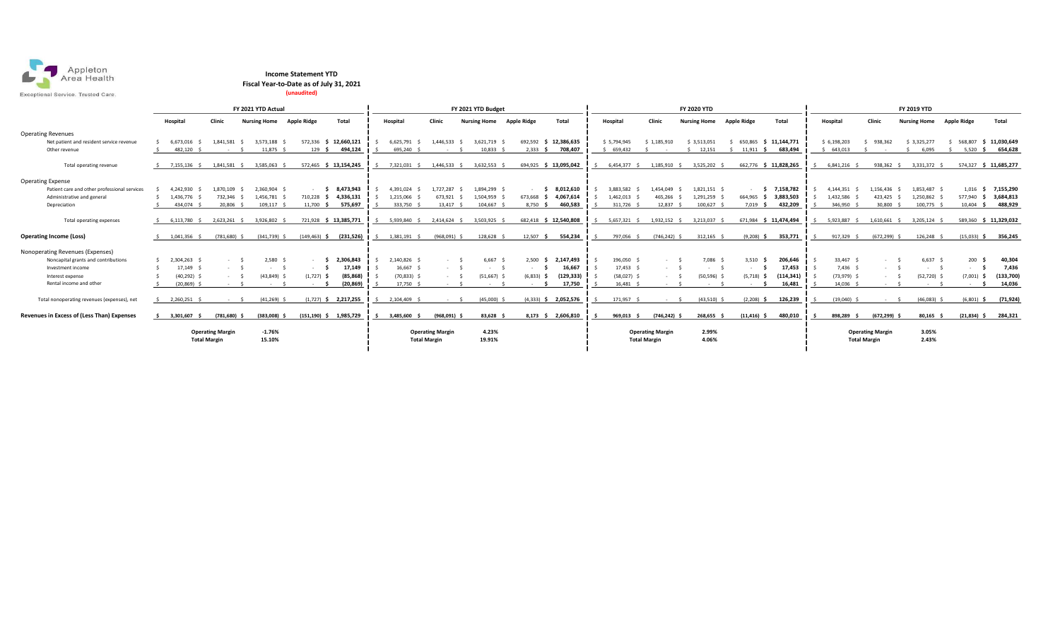

## Income Statement YTD

Fiscal Year-to-Date as of July 31, 2021 (unaudited)

|                                              |                |                                                |                     | FY 2021 YTD Budget       |                           |                |                                                |                     | FY 2020 YTD        |                       |               | FY 2019 YTD                                    |                                  |                    |                       |               |                                                |                     |                    |                       |
|----------------------------------------------|----------------|------------------------------------------------|---------------------|--------------------------|---------------------------|----------------|------------------------------------------------|---------------------|--------------------|-----------------------|---------------|------------------------------------------------|----------------------------------|--------------------|-----------------------|---------------|------------------------------------------------|---------------------|--------------------|-----------------------|
|                                              | Hospital       | Clinic                                         | <b>Nursing Home</b> | <b>Apple Ridge</b>       | <b>Total</b>              | Hospital       | Clinic                                         | <b>Nursing Home</b> | <b>Apple Ridge</b> | Total                 | Hospital      | Clinic                                         | <b>Nursing Home</b>              | <b>Apple Ridge</b> | Total                 | Hospital      | Clinic                                         | <b>Nursing Home</b> | <b>Apple Ridge</b> | Total                 |
| <b>Operating Revenues</b>                    |                |                                                |                     |                          |                           |                |                                                |                     |                    |                       |               |                                                |                                  |                    |                       |               |                                                |                     |                    |                       |
| Net patient and resident service revenue     | 6.673.016      | 1.841.581                                      | 3.573.188           | 572,336 \$               | 12,660,121                | 6,625,791      | 1.446.533                                      | 3,621,719           | 692.592 \$         | 12,386,635            | \$5,794,945   | \$1,185,910                                    | \$3,513,051                      |                    | 650.865 \$ 11.144.771 | \$6,198,203   | 938.362                                        | \$3.325.277         | 568,807            | \$11,030,649          |
| Other revenue                                | 482,120        |                                                | 11,875              | 129S                     | 494,124                   | 695,240        |                                                | 10,833              | $2,333$ \$         | 708,407               | 659,432       |                                                | 12,151                           | $11,911$ \$        | 683,494               | 643,013       |                                                | 6,095               | 5,520 \$           | 654,628               |
| Total operating revenue                      | 7,155,136      | 1.841.581 \$                                   | 3.585.063           |                          | 572,465 \$ 13,154,245     | 7.321.031      | 1.446.533                                      | 3.632.553           |                    | 694,925 \$ 13,095,042 | 6.454.377     | 1.185.910                                      | 3.525.202                        |                    | 662.776 \$ 11.828.265 | 6.841.216     | 938.362 \$                                     | 3.331.372           |                    | 574,327 \$ 11,685,277 |
| <b>Operating Expense</b>                     |                |                                                |                     |                          |                           |                |                                                |                     |                    |                       |               |                                                |                                  |                    |                       |               |                                                |                     |                    |                       |
| Patient care and other professional services | 4,242,930      | 1,870,109                                      | 2,360,904 \$        |                          | 8,473,943                 | 4,391,024      | 1,727,287                                      | 1.894.299 \$        |                    | 8,012,610             | 3.883.582     | 1.454.049                                      | 1,821,151 \$                     |                    | 7,158,782<br>s.       | 4,144,351     | 1.156.436                                      | 1,853,487           | $1,016$ \$         | 7,155,290             |
| Administrative and general                   | 1,436,776      | 732,346                                        | 1,456,781           | 710,228 \$               | 4,336,131                 | 1,215,066      | 673,921                                        | 1,504,959           | 673,668 \$         | 4,067,614             | 1,462,013     | 465,266                                        | 1,291,259                        | 664,965 \$         | 3,883,503             | 1,432,586     | 423,425                                        | 1,250,862           | 577,940 \$         | 3,684,813             |
| Depreciation                                 | 434.074        | 20.806                                         | 109,117 \$          | 11,700 \$                | 575,697                   | 333,750 \$     | 13.417                                         | 104,667             | 8,750 \$           | 460,583               | 311,726       |                                                | 100,627 \$<br>12.837 \$          | $7,019$ \$         | 432,209               | 346,950       | 30,800 \$                                      | 100,775             | $10,404$ \$        | 488,929               |
| Total operating expenses                     | 6.113.780 \$   | 2.623.261 \$                                   | 3.926.802           |                          | 721,928 \$ 13,385,771     | 5.939.840      | 2.414.624 \$                                   | 3.503.925           |                    | 682,418 \$ 12,540,808 | 5.657.321 \$  | 1.932.152 \$                                   | 3.213.037                        |                    | 671.984 \$ 11.474.494 | 5.923.887     | 1.610.661 \$                                   | 3.205.124           |                    | 589,360 \$ 11,329,032 |
| <b>Operating Income (Loss)</b>               | 1,041,356      | $(781,680)$ \$                                 | (341.739)           | $(149, 463)$ \$          | (231, 526)                | 1,381,191      | (968.091)                                      | 128,628             | 12.507 \$          | 554,234               | 797.056       | $(746.242)$ \$                                 | 312,165 \$                       | $(9.208)$ \$       | 353,771               | 917,329       | $(672, 299)$ \$                                | 126,248             | $(15,033)$ \$      | 356.245               |
| Nonoperating Revenues (Expenses)             |                |                                                |                     |                          |                           |                |                                                |                     |                    |                       |               |                                                |                                  |                    |                       |               |                                                |                     |                    |                       |
| Noncapital grants and contributions          | 2,304,263 \$   |                                                | 2,580               |                          | 2,306,843                 | 2,140,826 \$   | $\sim$ $\sim$                                  | 6,667               | $2,500$ \$         | 2,147,493             | 196,050       | $\sim$                                         | 7.086                            | 3,510              | 206,646               | 33,467 \$     | $\sim$ 100 $\mu$                               | 6,637               | 200                | 40,304                |
| Investment income                            | 17,149 \$      |                                                | <b>Service</b>      | - \$                     | 17.149                    | 16,667 \$      | - \$                                           | <b>Service</b>      | $\sim 100$         | 16,667                | 17,453 \$     |                                                | <b>Service</b><br><b>Service</b> | $\sim$ $-$         | 17,453                | $7,436$ \$    | <b>Service</b>                                 | <b>Service</b>      |                    | 7,436                 |
| Interest expense                             | $(40, 292)$ \$ |                                                | $(43, 849)$ \$      | $(1,727)$ \$             | (85, 868)                 | $(70, 833)$ \$ | $\sim$ $\sim$ $\sim$                           | $(51,667)$ \$       | $(6,833)$ \$       | (129,333)             | $(58,027)$ \$ | <b>Service</b>                                 | $(50, 596)$ \$                   | $(5,718)$ \$       | (114, 341)            | $(73,979)$ \$ | <b>Contract</b>                                | $(52,720)$ \$       | (7,001)            | (133,700)             |
| Rental income and other                      | $(20, 869)$ \$ |                                                |                     | <b>Contract Contract</b> | (20, 869)                 | 17,750 \$      | <b>Contract</b>                                |                     |                    | 17,750                | 16,481        |                                                | <b>Service</b>                   | $\sim$             | 16,481                | 14,036        | $\sim$ $-$                                     | $\sim$              |                    | 14,036                |
| Total nonoperating revenues (expenses), net  | 2,260,251 \$   |                                                | (41, 269)           | $(1,727)$ \$             | 2,217,255                 | 2,104,409      | <b>Contract Contract</b>                       | $(45,000)$ \$       | $(4.333)$ \$       | 2,052,576             | 171,957       | <b>Service</b>                                 | $(43,510)$ \$                    | $(2.208)$ \$       | 126,239               | $(19,040)$ \$ | <b>Service</b>                                 | $(46,083)$ \$       | $(6,801)$ \$       | (71, 924)             |
| Revenues in Excess of (Less Than) Expenses   | 3,301,607      | $(781,680)$ \$                                 | $(383,008)$ \$      |                          | $(151, 190)$ \$ 1,985,729 | 3,485,600 \$   | $(968,091)$ \$                                 | 83.628 \$           |                    | 8,173 \$ 2,606,810    | 969,013       | $(746, 242)$ \$                                | 268,655 \$                       | $(11, 416)$ \$     | 480,010               | 898,289       | $(672, 299)$ \$                                | 80,165 \$           | $(21,834)$ \$      | 284,321               |
|                                              |                | <b>Operating Margin</b><br><b>Total Margin</b> | $-1.76%$<br>15.10%  |                          |                           |                | <b>Operating Margin</b><br><b>Total Margin</b> | 4.23%<br>19.91%     |                    |                       |               | <b>Operating Margin</b><br><b>Total Margin</b> | 2.99%<br>4.06%                   |                    |                       |               | <b>Operating Margin</b><br><b>Total Margin</b> | 3.05%<br>2.43%      |                    |                       |